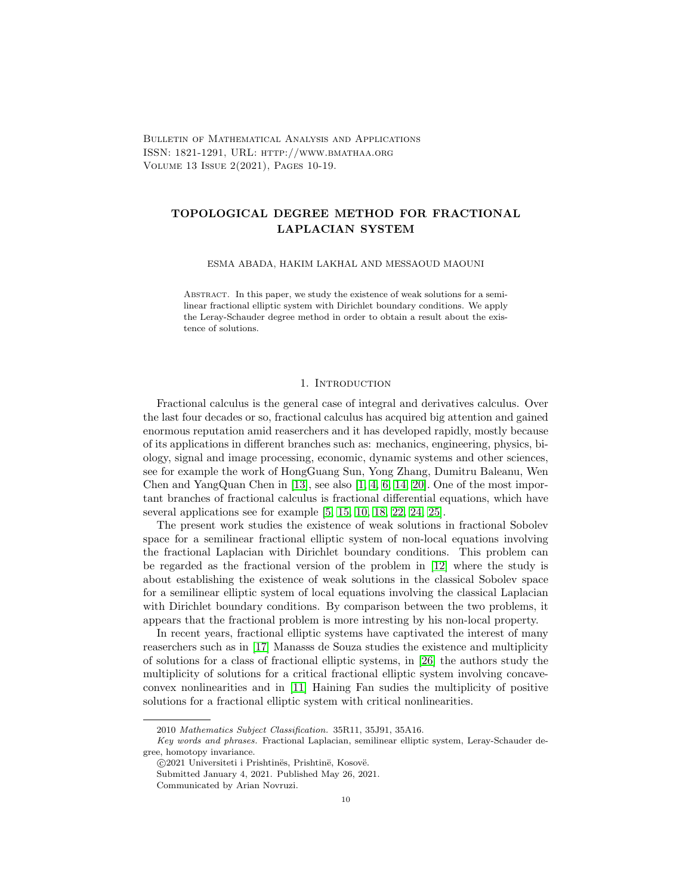Bulletin of Mathematical Analysis and Applications ISSN: 1821-1291, URL: http://www.bmathaa.org Volume 13 Issue 2(2021), Pages 10-19.

# TOPOLOGICAL DEGREE METHOD FOR FRACTIONAL LAPLACIAN SYSTEM

#### ESMA ABADA, HAKIM LAKHAL AND MESSAOUD MAOUNI

Abstract. In this paper, we study the existence of weak solutions for a semilinear fractional elliptic system with Dirichlet boundary conditions. We apply the Leray-Schauder degree method in order to obtain a result about the existence of solutions.

### 1. INTRODUCTION

Fractional calculus is the general case of integral and derivatives calculus. Over the last four decades or so, fractional calculus has acquired big attention and gained enormous reputation amid reaserchers and it has developed rapidly, mostly because of its applications in different branches such as: mechanics, engineering, physics, biology, signal and image processing, economic, dynamic systems and other sciences, see for example the work of HongGuang Sun, Yong Zhang, Dumitru Baleanu, Wen Chen and YangQuan Chen in [\[13\]](#page-8-0), see also [\[1,](#page-8-1) [4,](#page-8-2) [6,](#page-8-3) [14,](#page-8-4) [20\]](#page-8-5). One of the most important branches of fractional calculus is fractional differential equations, which have several applications see for example [\[5,](#page-8-6) [15,](#page-8-7) [10,](#page-8-8) [18,](#page-8-9) [22,](#page-8-10) [24,](#page-8-11) [25\]](#page-8-12).

The present work studies the existence of weak solutions in fractional Sobolev space for a semilinear fractional elliptic system of non-local equations involving the fractional Laplacian with Dirichlet boundary conditions. This problem can be regarded as the fractional version of the problem in [\[12\]](#page-8-13) where the study is about establishing the existence of weak solutions in the classical Sobolev space for a semilinear elliptic system of local equations involving the classical Laplacian with Dirichlet boundary conditions. By comparison between the two problems, it appears that the fractional problem is more intresting by his non-local property.

In recent years, fractional elliptic systems have captivated the interest of many reaserchers such as in [\[17\]](#page-8-14) Manasss de Souza studies the existence and multiplicity of solutions for a class of fractional elliptic systems, in [\[26\]](#page-8-15) the authors study the multiplicity of solutions for a critical fractional elliptic system involving concaveconvex nonlinearities and in [\[11\]](#page-8-16) Haining Fan sudies the multiplicity of positive solutions for a fractional elliptic system with critical nonlinearities.

<sup>2010</sup> Mathematics Subject Classification. 35R11, 35J91, 35A16.

Key words and phrases. Fractional Laplacian, semilinear elliptic system, Leray-Schauder degree, homotopy invariance.

<sup>© 2021</sup> Universiteti i Prishtinës, Prishtinë, Kosovë.

Submitted January 4, 2021. Published May 26, 2021.

Communicated by Arian Novruzi.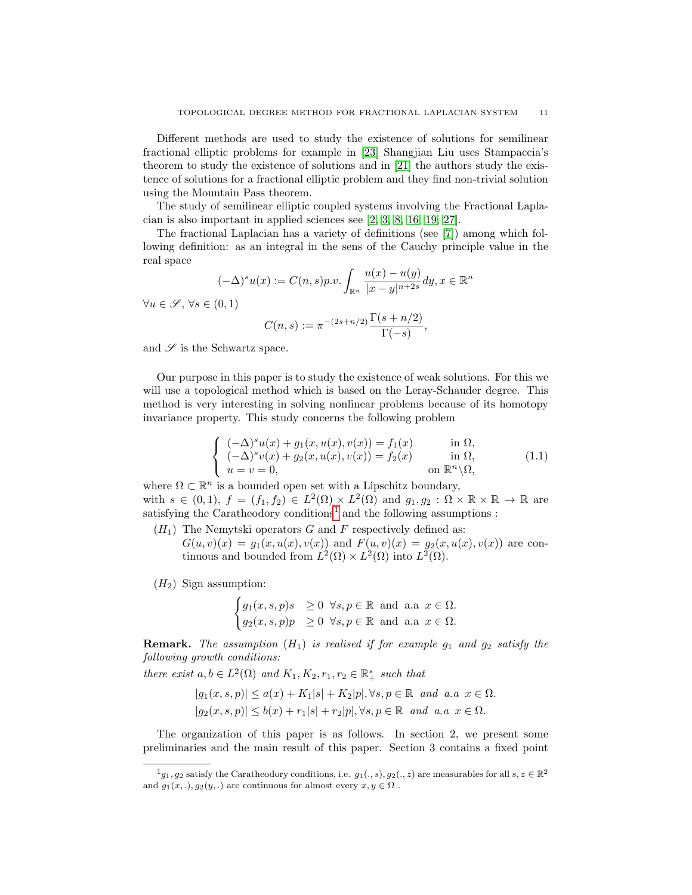Different methods are used to study the existence of solutions for semilinear fractional elliptic problems for example in [\[23\]](#page-8-17) Shangjian Liu uses Stampaccia's theorem to study the existence of solutions and in [\[21\]](#page-8-18) the authors study the existence of solutions for a fractional elliptic problem and they find non-trivial solution using the Mountain Pass theorem.

The study of semilinear elliptic coupled systems involving the Fractional Laplacian is also important in applied sciences see [\[2,](#page-8-19) [3,](#page-8-20) [8,](#page-8-21) [16,](#page-8-22) [19,](#page-8-23) [27\]](#page-9-0).

The fractional Laplacian has a variety of definitions (see [\[7\]](#page-8-24)) among which following definition: as an integral in the sens of the Cauchy principle value in the real space

$$
(-\Delta)^s u(x) := C(n, s) p.v. \int_{\mathbb{R}^n} \frac{u(x) - u(y)}{|x - y|^{n+2s}} dy, x \in \mathbb{R}^n
$$
  

$$
\forall u \in \mathscr{S}, \forall s \in (0, 1)
$$
  

$$
C(n, s) := \pi^{-(2s + n/2)} \frac{\Gamma(s + n/2)}{\Gamma(-s)},
$$

and  $\mathscr S$  is the Schwartz space.

Our purpose in this paper is to study the existence of weak solutions. For this we will use a topological method which is based on the Leray-Schauder degree. This method is very interesting in solving nonlinear problems because of its homotopy invariance property. This study concerns the following problem

<span id="page-1-1"></span>
$$
\begin{cases}\n(-\Delta)^s u(x) + g_1(x, u(x), v(x)) = f_1(x) & \text{in } \Omega, \\
(-\Delta)^s v(x) + g_2(x, u(x), v(x)) = f_2(x) & \text{in } \Omega, \\
u = v = 0, & \text{on } \mathbb{R}^n \backslash \Omega,\n\end{cases}
$$
\n(1.1)

where  $\Omega \subset \mathbb{R}^n$  is a bounded open set with a Lipschitz boundary, with  $s \in (0,1)$ ,  $f = (f_1, f_2) \in L^2(\Omega) \times L^2(\Omega)$  and  $g_1, g_2 : \Omega \times \mathbb{R} \times \mathbb{R} \to \mathbb{R}$  are satisfying the Caratheodory conditions<sup>[1](#page-1-0)</sup> and the following assumptions :

 $(H_1)$  The Nemytski operators G and F respectively defined as:  $G(u, v)(x) = g_1(x, u(x), v(x))$  and  $F(u, v)(x) = g_2(x, u(x), v(x))$  are continuous and bounded from  $L^2(\Omega) \times L^2(\Omega)$  into  $L^2(\Omega)$ .

 $(H_2)$  Sign assumption:

$$
\begin{cases} g_1(x, s, p)s \geq 0 \ \forall s, p \in \mathbb{R} \text{ and a.a } x \in \Omega. \\ g_2(x, s, p)p \geq 0 \ \forall s, p \in \mathbb{R} \text{ and a.a } x \in \Omega. \end{cases}
$$

**Remark.** The assumption  $(H_1)$  is realised if for example  $g_1$  and  $g_2$  satisfy the following growth conditions:

there exist  $a, b \in L^2(\Omega)$  and  $K_1, K_2, r_1, r_2 \in \mathbb{R}_+^*$  such that

$$
|g_1(x, s, p)| \le a(x) + K_1|s| + K_2|p|, \forall s, p \in \mathbb{R} \text{ and a.a } x \in \Omega.
$$
  

$$
|g_2(x, s, p)| \le b(x) + r_1|s| + r_2|p|, \forall s, p \in \mathbb{R} \text{ and a.a } x \in \Omega.
$$

The organization of this paper is as follows. In section 2, we present some preliminaries and the main result of this paper. Section 3 contains a fixed point

<span id="page-1-0"></span> $1_{g_1, g_2}$  satisfy the Caratheodory conditions, i.e.  $g_1(., s), g_2(., z)$  are measurables for all  $s, z \in \mathbb{R}^2$ and  $g_1(x,.)$ ,  $g_2(y,.)$  are continuous for almost every  $x, y \in \Omega$ .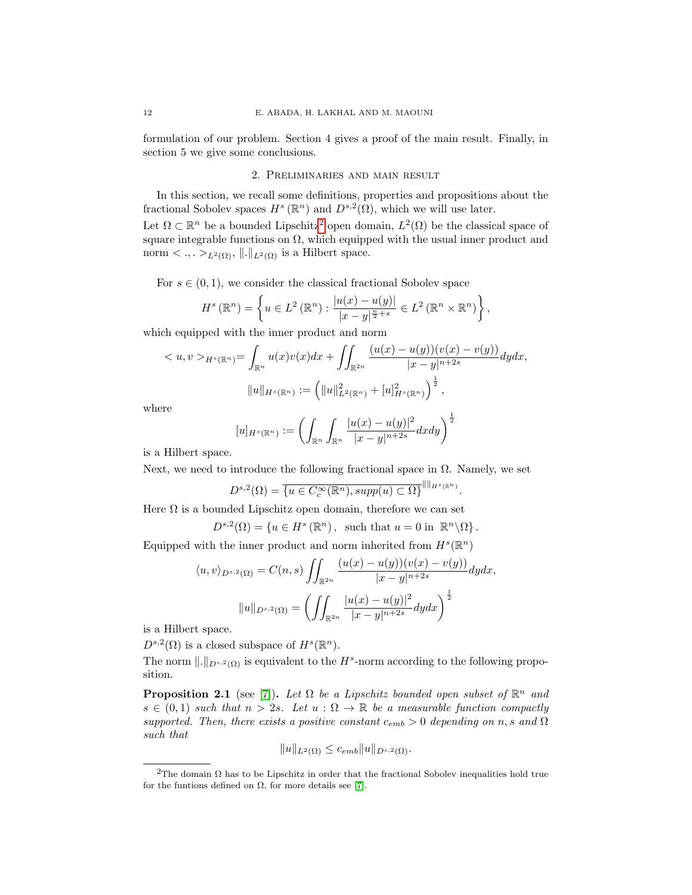formulation of our problem. Section 4 gives a proof of the main result. Finally, in section 5 we give some conclusions.

## 2. Preliminaries and main result

In this section, we recall some definitions, properties and propositions about the fractional Sobolev spaces  $H^s(\mathbb{R}^n)$  and  $D^{s,2}(\Omega)$ , which we will use later.

Let  $\Omega \subset \mathbb{R}^n$  be a bounded Lipschitz<sup>[2](#page-2-0)</sup> open domain,  $L^2(\Omega)$  be the classical space of square integrable functions on  $\Omega$ , which equipped with the usual inner product and norm  $\langle \ldots \rangle_{L^2(\Omega)},$   $\|\ldots\|_{L^2(\Omega)}$  is a Hilbert space.

For  $s \in (0, 1)$ , we consider the classical fractional Sobolev space

$$
H^{s}(\mathbb{R}^{n}) = \left\{ u \in L^{2}(\mathbb{R}^{n}) : \frac{|u(x) - u(y)|}{|x - y|^{\frac{n}{2} + s}} \in L^{2}(\mathbb{R}^{n} \times \mathbb{R}^{n}) \right\},\,
$$

which equipped with the inner product and norm

$$
\langle u, v \rangle_{H^s(\mathbb{R}^n)} = \int_{\mathbb{R}^n} u(x)v(x)dx + \iint_{\mathbb{R}^{2n}} \frac{(u(x) - u(y))(v(x) - v(y))}{|x - y|^{n+2s}} dydx,
$$
  

$$
||u||_{H^s(\mathbb{R}^n)} := (||u||_{L^2(\mathbb{R}^n)}^2 + [u]_{H^s(\mathbb{R}^n)}^2) + \sum_{n=1}^{\infty} (||u||_{H^s(\mathbb{R}^n)}^2 + [u]_{H^s(\mathbb{R}^n)}^2) + \sum_{n=1}^{\infty} (||u||_{H^s(\mathbb{R}^n)}^2 + [u]_{H^s(\mathbb{R}^n)}^2) + \sum_{n=1}^{\infty} (||u||_{H^s(\mathbb{R}^n)}^2 + [u]_{H^s(\mathbb{R}^n)}^2) + \sum_{n=1}^{\infty} (||u||_{H^s(\mathbb{R}^n)}^2 + [u]_{H^s(\mathbb{R}^n)}^2) + \sum_{n=1}^{\infty} (||u||_{H^s(\mathbb{R}^n)}^2 + [u]_{H^s(\mathbb{R}^n)}^2) + \sum_{n=1}^{\infty} (||u||_{H^s(\mathbb{R}^n)}^2 + [u]_{H^s(\mathbb{R}^n)}^2) + \sum_{n=1}^{\infty} (||u||_{H^s(\mathbb{R}^n)}^2 + [u]_{H^s(\mathbb{R}^n)}^2) + \sum_{n=1}^{\infty} (||u||_{H^s(\mathbb{R}^n)}^2 + [u]_{H^s(\mathbb{R}^n)}^2) + \sum_{n=1}^{\infty} (||u||_{H^s(\mathbb{R}^n)}^2 + [u]_{H^s(\mathbb{R}^n)}^2) + \sum_{n=1}^{\infty} (||u||_{H^s(\mathbb{R}^n)}^2) + \sum_{n=1}^{\infty} (||u||_{H^s(\mathbb{R}^n)}^2 + [u]_{H^s(\mathbb{R}^n)}^2) + \sum_{n=1}^{\infty} (||u||_{H^s(\mathbb{R}^n)}^2 + [u]_{H^s(\mathbb{R}^n)}^2) + \sum_{
$$

where

$$
[u]_{H^{s}(\mathbb{R}^{n})} := \left(\int_{\mathbb{R}^{n}} \int_{\mathbb{R}^{n}} \frac{|u(x) - u(y)|^{2}}{|x - y|^{n+2s}} dx dy\right)^{\frac{1}{2}}
$$

is a Hilbert space.

Next, we need to introduce the following fractional space in  $\Omega$ . Namely, we set

$$
D^{s,2}(\Omega) = \overline{\{u \in C_c^{\infty}(\mathbb{R}^n), supp(u) \subset \Omega\}}^{\| \|_{H^s(\mathbb{R}^n)}}
$$

.

Here  $\Omega$  is a bounded Lipschitz open domain, therefore we can set

 $D^{s,2}(\Omega) = \{u \in H^s(\mathbb{R}^n), \text{ such that } u = 0 \text{ in } \mathbb{R}^n \backslash \Omega\}.$ 

Equipped with the inner product and norm inherited from  $H^s(\mathbb{R}^n)$ 

$$
\langle u, v \rangle_{D^{s,2}(\Omega)} = C(n, s) \iint_{\mathbb{R}^{2n}} \frac{(u(x) - u(y))(v(x) - v(y))}{|x - y|^{n+2s}} dy dx,
$$

$$
||u||_{D^{s,2}(\Omega)} = \left( \iint_{\mathbb{R}^{2n}} \frac{|u(x) - u(y)|^2}{|x - y|^{n+2s}} dy dx \right)^{\frac{1}{2}}
$$

is a Hilbert space.

 $D^{s,2}(\Omega)$  is a closed subspace of  $H^s(\mathbb{R}^n)$ .

The norm  $\|.\|_{D^{s,2}(\Omega)}$  is equivalent to the  $H^s$ -norm according to the following proposition.

<span id="page-2-1"></span>**Proposition 2.1** (see [\[7\]](#page-8-24)). Let  $\Omega$  be a Lipschitz bounded open subset of  $\mathbb{R}^n$  and  $s \in (0,1)$  such that  $n > 2s$ . Let  $u : \Omega \to \mathbb{R}$  be a measurable function compactly supported. Then, there exists a positive constant  $c_{emb} > 0$  depending on n, s and  $\Omega$ such that

$$
||u||_{L^2(\Omega)} \leq c_{emb}||u||_{D^{s,2}(\Omega)}.
$$

<span id="page-2-0"></span><sup>&</sup>lt;sup>2</sup>The domain Ω has to be Lipschitz in order that the fractional Sobolev inequalities hold true for the funtions defined on  $\Omega$ , for more details see [\[7\]](#page-8-24).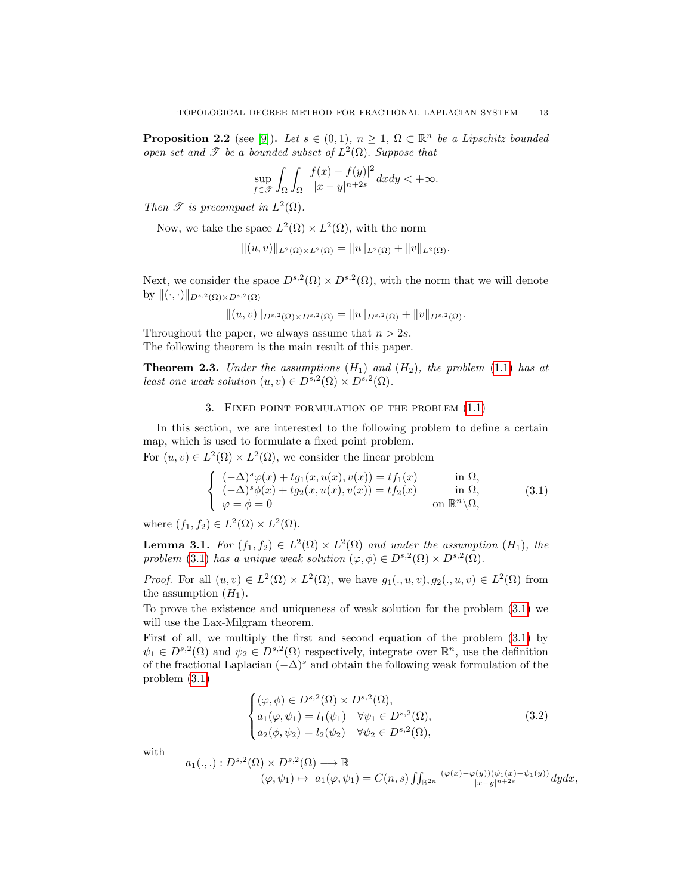<span id="page-3-1"></span>**Proposition 2.2** (see [\[9\]](#page-8-25)). Let  $s \in (0,1)$ ,  $n \geq 1$ ,  $\Omega \subset \mathbb{R}^n$  be a Lipschitz bounded open set and  $\mathscr T$  be a bounded subset of  $L^2(\Omega)$ . Suppose that

$$
\sup_{f\in\mathcal{F}}\int_{\Omega}\int_{\Omega}\frac{|f(x)-f(y)|^2}{|x-y|^{n+2s}}dxdy<+\infty.
$$

Then  $\mathscr T$  is precompact in  $L^2(\Omega)$ .

Now, we take the space  $L^2(\Omega) \times L^2(\Omega)$ , with the norm

$$
|| (u, v)||_{L^{2}(\Omega) \times L^{2}(\Omega)} = ||u||_{L^{2}(\Omega)} + ||v||_{L^{2}(\Omega)}.
$$

Next, we consider the space  $D^{s,2}(\Omega) \times D^{s,2}(\Omega)$ , with the norm that we will denote by  $\|(\cdot,\cdot)\|_{D^{s,2}(\Omega)\times D^{s,2}(\Omega)}$ 

$$
|| (u, v)||_{D^{s,2}(\Omega) \times D^{s,2}(\Omega)} = ||u||_{D^{s,2}(\Omega)} + ||v||_{D^{s,2}(\Omega)}.
$$

Throughout the paper, we always assume that  $n > 2s$ . The following theorem is the main result of this paper.

**Theorem 2.3.** Under the assumptions  $(H_1)$  and  $(H_2)$ , the problem [\(1.1\)](#page-1-1) has at least one weak solution  $(u, v) \in D^{s,2}(\Omega) \times D^{s,2}(\Omega)$ .

### 3. Fixed point formulation of the problem [\(1.1\)](#page-1-1)

In this section, we are interested to the following problem to define a certain map, which is used to formulate a fixed point problem.

For  $(u, v) \in L^2(\Omega) \times L^2(\Omega)$ , we consider the linear problem

<span id="page-3-0"></span>
$$
\begin{cases}\n(-\Delta)^s \varphi(x) + t g_1(x, u(x), v(x)) = t f_1(x) & \text{in } \Omega, \\
(-\Delta)^s \phi(x) + t g_2(x, u(x), v(x)) = t f_2(x) & \text{in } \Omega, \\
\varphi = \phi = 0 & \text{on } \mathbb{R}^n \backslash \Omega,\n\end{cases}
$$
\n(3.1)

where  $(f_1, f_2) \in L^2(\Omega) \times L^2(\Omega)$ .

**Lemma 3.1.** For  $(f_1, f_2) \in L^2(\Omega) \times L^2(\Omega)$  and under the assumption  $(H_1)$ , the problem [\(3.1\)](#page-3-0) has a unique weak solution  $(\varphi, \phi) \in D^{s,2}(\Omega) \times D^{s,2}(\Omega)$ .

*Proof.* For all  $(u, v) \in L^2(\Omega) \times L^2(\Omega)$ , we have  $g_1(., u, v), g_2(., u, v) \in L^2(\Omega)$  from the assumption  $(H_1)$ .

To prove the existence and uniqueness of weak solution for the problem [\(3.1\)](#page-3-0) we will use the Lax-Milgram theorem.

First of all, we multiply the first and second equation of the problem [\(3.1\)](#page-3-0) by  $\psi_1 \in D^{s,2}(\Omega)$  and  $\psi_2 \in D^{s,2}(\Omega)$  respectively, integrate over  $\mathbb{R}^n$ , use the definition of the fractional Laplacian  $(-\Delta)^s$  and obtain the following weak formulation of the problem [\(3.1\)](#page-3-0)

$$
\begin{cases}\n(\varphi, \phi) \in D^{s,2}(\Omega) \times D^{s,2}(\Omega), \\
a_1(\varphi, \psi_1) = l_1(\psi_1) \quad \forall \psi_1 \in D^{s,2}(\Omega), \\
a_2(\phi, \psi_2) = l_2(\psi_2) \quad \forall \psi_2 \in D^{s,2}(\Omega),\n\end{cases}
$$
\n(3.2)

with

$$
a_1(.,.): D^{s,2}(\Omega) \times D^{s,2}(\Omega) \longrightarrow \mathbb{R}
$$
  

$$
(\varphi, \psi_1) \mapsto a_1(\varphi, \psi_1) = C(n,s) \iint_{\mathbb{R}^{2n}} \frac{(\varphi(x) - \varphi(y))(\psi_1(x) - \psi_1(y))}{|x - y|^{n+2s}} dy dx,
$$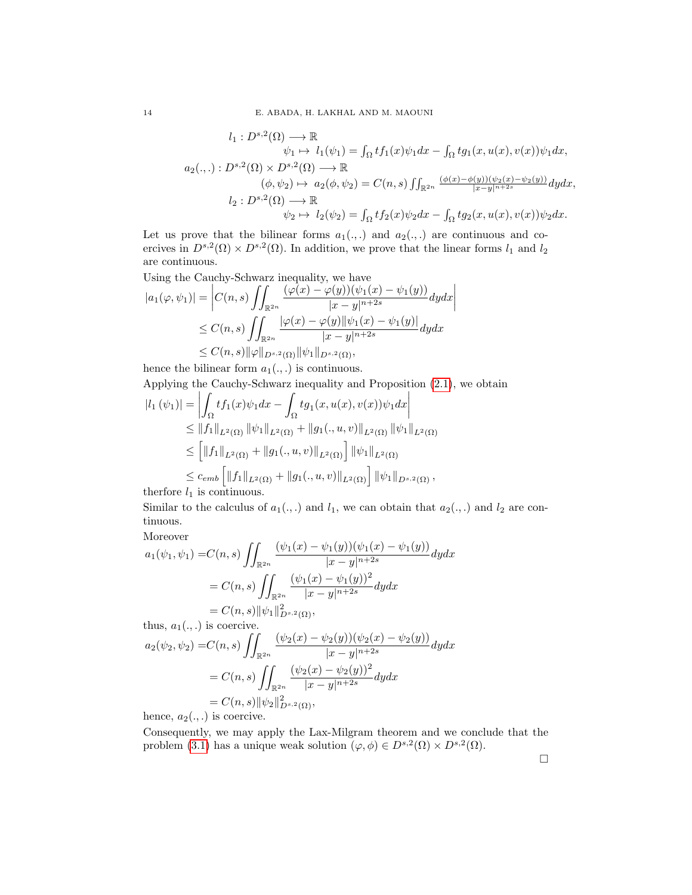$$
l_1: D^{s,2}(\Omega) \longrightarrow \mathbb{R}
$$
  
\n
$$
\psi_1 \mapsto l_1(\psi_1) = \int_{\Omega} t f_1(x) \psi_1 dx - \int_{\Omega} t g_1(x, u(x), v(x)) \psi_1 dx,
$$
  
\n
$$
a_2(\cdot, \cdot): D^{s,2}(\Omega) \times D^{s,2}(\Omega) \longrightarrow \mathbb{R}
$$
  
\n
$$
(\phi, \psi_2) \mapsto a_2(\phi, \psi_2) = C(n, s) \iint_{\mathbb{R}^{2n}} \frac{(\phi(x) - \phi(y))(\psi_2(x) - \psi_2(y))}{|x - y|^{n + 2s}} dy dx,
$$
  
\n
$$
l_2: D^{s,2}(\Omega) \longrightarrow \mathbb{R}
$$
  
\n
$$
\psi_2 \mapsto l_2(\psi_2) = \int_{\Omega} t f_2(x) \psi_2 dx - \int_{\Omega} t g_2(x, u(x), v(x)) \psi_2 dx.
$$

Let us prove that the bilinear forms  $a_1(.,.)$  and  $a_2(.,.)$  are continuous and coercives in  $D^{s,2}(\Omega) \times D^{s,2}(\Omega)$ . In addition, we prove that the linear forms  $l_1$  and  $l_2$ are continuous.

Using the Cauchy-Schwarz inequality, we have  
\n
$$
|a_1(\varphi, \psi_1)| = \left| C(n, s) \int_{\mathbb{R}^{2n}} \frac{(\varphi(x) - \varphi(y))(\psi_1(x) - \psi_1(y))}{|x - y|^{n+2s}} dy dx \right|
$$
\n
$$
\leq C(n, s) \int_{\mathbb{R}^{2n}} \frac{|\varphi(x) - \varphi(y)| |\psi_1(x) - \psi_1(y)|}{|x - y|^{n+2s}} dy dx
$$
\n
$$
\leq C(n, s) ||\varphi||_{D^{s,2}(\Omega)} ||\psi_1||_{D^{s,2}(\Omega)},
$$

hence the bilinear form  $a_1(.,.)$  is continuous.

Applying the Cauchy-Schwarz inequality and Proposition [\(2.1\)](#page-2-1), we obtain

$$
|l_1(\psi_1)| = \left| \int_{\Omega} t f_1(x) \psi_1 dx - \int_{\Omega} t g_1(x, u(x), v(x)) \psi_1 dx \right|
$$
  
\n
$$
\leq \|f_1\|_{L^2(\Omega)} \|\psi_1\|_{L^2(\Omega)} + \|g_1(., u, v)\|_{L^2(\Omega)} \|\psi_1\|_{L^2(\Omega)}
$$
  
\n
$$
\leq [||f_1||_{L^2(\Omega)} + ||g_1(., u, v)||_{L^2(\Omega)}] \|\psi_1\|_{L^2(\Omega)}
$$
  
\n
$$
\leq c_{emb} \left[ ||f_1||_{L^2(\Omega)} + ||g_1(., u, v)||_{L^2(\Omega)} \right] \|\psi_1\|_{D^{s,2}(\Omega)},
$$

therfore  $l_1$  is continuous.

Similar to the calculus of  $a_1(.,.)$  and  $l_1$ , we can obtain that  $a_2(.,.)$  and  $l_2$  are continuous.

Moreover

$$
a_1(\psi_1, \psi_1) = C(n, s) \iint_{\mathbb{R}^{2n}} \frac{(\psi_1(x) - \psi_1(y))(\psi_1(x) - \psi_1(y))}{|x - y|^{n+2s}} dy dx
$$
  
=  $C(n, s) \iint_{\mathbb{R}^{2n}} \frac{(\psi_1(x) - \psi_1(y))^2}{|x - y|^{n+2s}} dy dx$   
=  $C(n, s) \|\psi_1\|_{D^{s,2}(\Omega)}^2$ ,

thus,  $a_1(.,.)$  is coercive.

$$
a_2(\psi_2, \psi_2) = C(n, s) \iint_{\mathbb{R}^{2n}} \frac{(\psi_2(x) - \psi_2(y))(\psi_2(x) - \psi_2(y))}{|x - y|^{n+2s}} dy dx
$$
  
=  $C(n, s) \iint_{\mathbb{R}^{2n}} \frac{(\psi_2(x) - \psi_2(y))^2}{|x - y|^{n+2s}} dy dx$   
=  $C(n, s) \|\psi_2\|_{D^{s,2}(\Omega)}^2$ ,

hence,  $a_2(.,.)$  is coercive.

Consequently, we may apply the Lax-Milgram theorem and we conclude that the problem [\(3.1\)](#page-3-0) has a unique weak solution  $(\varphi, \phi) \in D^{s,2}(\Omega) \times D^{s,2}(\Omega)$ .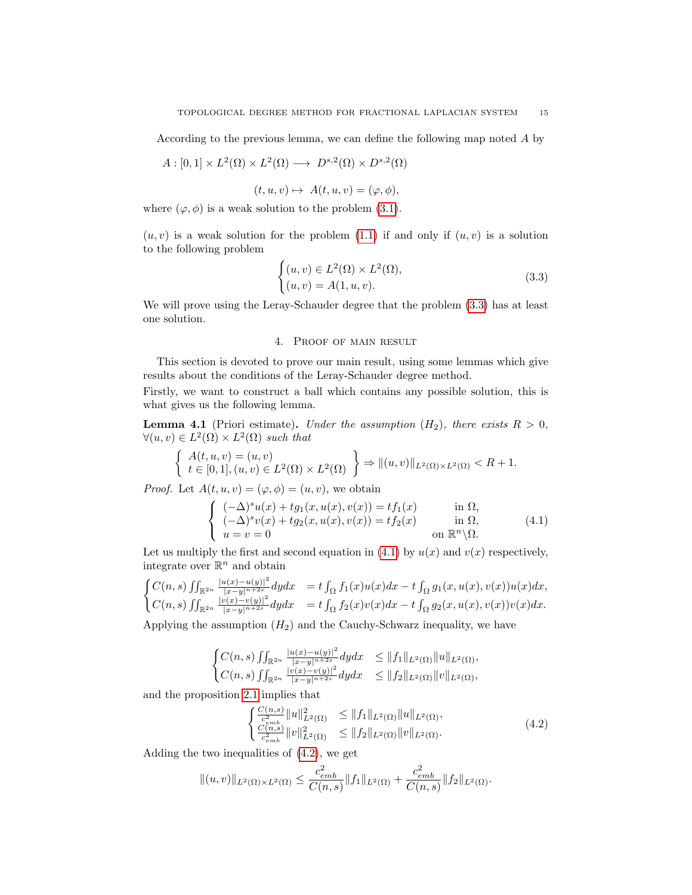According to the previous lemma, we can define the following map noted A by

$$
A: [0,1] \times L^2(\Omega) \times L^2(\Omega) \longrightarrow D^{s,2}(\Omega) \times D^{s,2}(\Omega)
$$

$$
(t, u, v) \mapsto A(t, u, v) = (\varphi, \phi),
$$

where  $(\varphi, \phi)$  is a weak solution to the problem [\(3.1\)](#page-3-0).

 $(u, v)$  is a weak solution for the problem  $(1.1)$  if and only if  $(u, v)$  is a solution to the following problem

<span id="page-5-0"></span>
$$
\begin{cases} (u,v) \in L^2(\Omega) \times L^2(\Omega), \\ (u,v) = A(1,u,v). \end{cases}
$$
\n(3.3)

We will prove using the Leray-Schauder degree that the problem [\(3.3\)](#page-5-0) has at least one solution.

## 4. Proof of main result

This section is devoted to prove our main result, using some lemmas which give results about the conditions of the Leray-Schauder degree method.

Firstly, we want to construct a ball which contains any possible solution, this is what gives us the following lemma.

<span id="page-5-3"></span>**Lemma 4.1** (Priori estimate). Under the assumption  $(H_2)$ , there exists  $R > 0$ ,  $\forall (u, v) \in L^2(\Omega) \times L^2(\Omega)$  such that

$$
\begin{cases} A(t, u, v) = (u, v) \\ t \in [0, 1], (u, v) \in L^2(\Omega) \times L^2(\Omega) \end{cases} \Rightarrow ||(u, v)||_{L^2(\Omega) \times L^2(\Omega)} < R + 1.
$$

*Proof.* Let  $A(t, u, v) = (\varphi, \phi) = (u, v)$ , we obtain

<span id="page-5-1"></span>
$$
\begin{cases}\n(-\Delta)^s u(x) + t g_1(x, u(x), v(x)) = t f_1(x) & \text{in } \Omega, \\
(-\Delta)^s v(x) + t g_2(x, u(x), v(x)) = t f_2(x) & \text{in } \Omega, \\
u = v = 0 & \text{on } \mathbb{R}^n \backslash \Omega.\n\end{cases}
$$
\n(4.1)

Let us multiply the first and second equation in [\(4.1\)](#page-5-1) by  $u(x)$  and  $v(x)$  respectively, integrate over  $\mathbb{R}^n$  and obtain

$$
\begin{cases} C(n,s) \iint_{\mathbb{R}^{2n}} \frac{|u(x)-u(y)|^2}{|x-y|^{n+2s}} dydx &= t \int_{\Omega} f_1(x)u(x)dx - t \int_{\Omega} g_1(x,u(x),v(x))u(x)dx, \\ C(n,s) \iint_{\mathbb{R}^{2n}} \frac{|v(x)-v(y)|^2}{|x-y|^{n+2s}} dydx &= t \int_{\Omega} f_2(x)v(x)dx - t \int_{\Omega} g_2(x,u(x),v(x))v(x)dx. \end{cases}
$$

Applying the assumption  $(H_2)$  and the Cauchy-Schwarz inequality, we have

$$
\begin{cases} C(n,s)\int_{\mathbb{R}^{2n}}\frac{|u(x)-u(y)|^2}{|x-y|^{n+2s}}dydx & \leq \|f_1\|_{L^2(\Omega)}\|u\|_{L^2(\Omega)},\\ C(n,s)\int_{\mathbb{R}^{2n}}\frac{|v(x)-v(y)|^2}{|x-y|^{n+2s}}dydx & \leq \|f_2\|_{L^2(\Omega)}\|v\|_{L^2(\Omega)}, \end{cases}
$$

and the proposition [2.1](#page-2-1) implies that

<span id="page-5-2"></span>
$$
\begin{cases} \frac{C(n,s)}{c_{emb}^2} \|u\|_{L^2(\Omega)}^2 & \le \|f_1\|_{L^2(\Omega)} \|u\|_{L^2(\Omega)},\\ \frac{C(n,s)}{c_{emb}^2} \|v\|_{L^2(\Omega)}^2 & \le \|f_2\|_{L^2(\Omega)} \|v\|_{L^2(\Omega)}. \end{cases} \tag{4.2}
$$

Adding the two inequalities of [\(4.2\)](#page-5-2), we get

$$
||(u,v)||_{L^2(\Omega)\times L^2(\Omega)} \leq \frac{c_{emb}^2}{C(n,s)}||f_1||_{L^2(\Omega)} + \frac{c_{emb}^2}{C(n,s)}||f_2||_{L^2(\Omega)}.
$$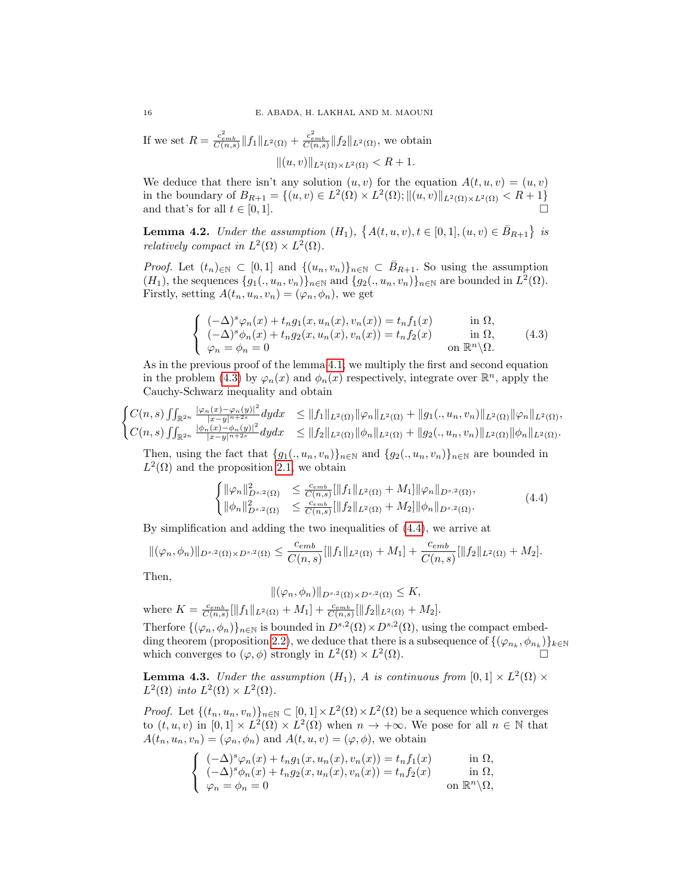If we set  $R = \frac{c_{emb}^2}{C(n,s)} ||f_1||_{L^2(\Omega)} + \frac{c_{emb}^2}{C(n,s)} ||f_2||_{L^2(\Omega)}$ , we obtain  $||(u, v)||_{L^2(\Omega) \times L^2(\Omega)} < R + 1.$ 

We deduce that there isn't any solution  $(u, v)$  for the equation  $A(t, u, v) = (u, v)$ in the boundary of  $B_{R+1} = \{(u, v) \in L^2(\Omega) \times L^2(\Omega); ||(u, v)||_{L^2(\Omega) \times L^2(\Omega)} < R+1\}$ and that's for all  $t \in [0, 1]$ .

<span id="page-6-2"></span>**Lemma 4.2.** Under the assumption  $(H_1)$ ,  $\{A(t, u, v), t \in [0, 1], (u, v) \in \bar{B}_{R+1}\}\$ is *relatively compact in*  $L^2(\Omega) \times L^2(\Omega)$ .

*Proof.* Let  $(t_n)_{\in \mathbb{N}} \subset [0,1]$  and  $\{(u_n,v_n)\}_{n\in \mathbb{N}} \subset \overline{B}_{R+1}$ . So using the assumption  $(H_1)$ , the sequences  $\{g_1(., u_n, v_n)\}_{n\in\mathbb{N}}$  and  $\{g_2(., u_n, v_n)\}_{n\in\mathbb{N}}$  are bounded in  $L^2(\Omega)$ . Firstly, setting  $A(t_n, u_n, v_n) = (\varphi_n, \phi_n)$ , we get

<span id="page-6-0"></span>
$$
\begin{cases}\n(-\Delta)^s \varphi_n(x) + t_n g_1(x, u_n(x), v_n(x)) = t_n f_1(x) & \text{in } \Omega, \\
(-\Delta)^s \varphi_n(x) + t_n g_2(x, u_n(x), v_n(x)) = t_n f_2(x) & \text{in } \Omega, \\
\varphi_n = \varphi_n = 0 & \text{on } \mathbb{R}^n \backslash \Omega.\n\end{cases}
$$
\n(4.3)

As in the previous proof of the lemma [4.1,](#page-5-3) we multiply the first and second equation in the problem [\(4.3\)](#page-6-0) by  $\varphi_n(x)$  and  $\phi_n(x)$  respectively, integrate over  $\mathbb{R}^n$ , apply the Cauchy-Schwarz inequality and obtain

$$
\begin{cases} C(n,s)\int_{\mathbb{R}^{2n}}\frac{|\varphi_n(x)-\varphi_n(y)|^2}{|x-y|^{n+2s}}dydx & \leq \|f_1\|_{L^2(\Omega)}\|\varphi_n\|_{L^2(\Omega)}+\|g_1(.,u_n,v_n)\|_{L^2(\Omega)}\|\varphi_n\|_{L^2(\Omega)},\\ C(n,s)\int_{\mathbb{R}^{2n}}\frac{|\phi_n(x)-\phi_n(y)|^2}{|x-y|^{n+2s}}dydx & \leq \|f_2\|_{L^2(\Omega)}\|\phi_n\|_{L^2(\Omega)}+\|g_2(.,u_n,v_n)\|_{L^2(\Omega)}\|\phi_n\|_{L^2(\Omega)}. \end{cases}
$$

Then, using the fact that  $\{g_1(., u_n, v_n)\}_{n\in\mathbb{N}}$  and  $\{g_2(., u_n, v_n)\}_{n\in\mathbb{N}}$  are bounded in  $L^2(\Omega)$  and the proposition [2.1,](#page-2-1) we obtain

$$
\begin{cases} \|\varphi_n\|_{D^{s,2}(\Omega)}^2 & \leq \frac{c_{emb}}{C(n,s)} [\|f_1\|_{L^2(\Omega)} + M_1] \|\varphi_n\|_{D^{s,2}(\Omega)},\\ \|\phi_n\|_{D^{s,2}(\Omega)}^2 & \leq \frac{c_{emb}}{C(n,s)} [\|f_2\|_{L^2(\Omega)} + M_2] \|\phi_n\|_{D^{s,2}(\Omega)}. \end{cases} \tag{4.4}
$$

By simplification and adding the two inequalities of [\(4.4\)](#page-6-1), we arrive at

$$
\|(\varphi_n, \phi_n)\|_{D^{s,2}(\Omega)\times D^{s,2}(\Omega)} \leq \frac{c_{emb}}{C(n,s)}[\|f_1\|_{L^2(\Omega)} + M_1] + \frac{c_{emb}}{C(n,s)}[\|f_2\|_{L^2(\Omega)} + M_2].
$$

Then,

<span id="page-6-1"></span>
$$
\|(\varphi_n, \phi_n)\|_{D^{s,2}(\Omega)\times D^{s,2}(\Omega)} \le K,
$$

where  $K = \frac{c_{emb}}{C(n,s)} [\|f_1\|_{L^2(\Omega)} + M_1] + \frac{c_{emb}}{C(n,s)} [\|f_2\|_{L^2(\Omega)} + M_2].$ 

Therfore  $\{(\varphi_n, \phi_n)\}_{n \in \mathbb{N}}$  is bounded in  $D^{s,2}(\Omega) \times D^{s,2}(\Omega)$ , using the compact embed-ding theorem (proposition [2.2\)](#page-3-1), we deduce that there is a subsequence of  $\{(\varphi_{n_k}, \phi_{n_k})\}_{k \in \mathbb{N}}$ which converges to  $(\varphi, \phi)$  strongly in  $L^2(\Omega) \times L^2(\Omega)$ .

<span id="page-6-3"></span>**Lemma 4.3.** Under the assumption  $(H_1)$ , A is continuous from  $[0,1] \times L^2(\Omega) \times$  $L^2(\Omega)$  into  $L^2(\Omega) \times L^2(\Omega)$ .

*Proof.* Let  $\{(t_n, u_n, v_n)\}_{n \in \mathbb{N}} \subset [0,1] \times L^2(\Omega) \times L^2(\Omega)$  be a sequence which converges to  $(t, u, v)$  in  $[0, 1] \times L^2(\Omega) \times L^2(\Omega)$  when  $n \to +\infty$ . We pose for all  $n \in \mathbb{N}$  that  $A(t_n, u_n, v_n) = (\varphi_n, \phi_n)$  and  $A(t, u, v) = (\varphi, \phi)$ , we obtain

$$
\begin{cases}\n(-\Delta)^s \varphi_n(x) + t_n g_1(x, u_n(x), v_n(x)) = t_n f_1(x) & \text{in } \Omega, \\
(-\Delta)^s \phi_n(x) + t_n g_2(x, u_n(x), v_n(x)) = t_n f_2(x) & \text{in } \Omega, \\
\varphi_n = \phi_n = 0 & \text{on } \mathbb{R}^n \backslash \Omega,\n\end{cases}
$$

$$
\varphi_n = \phi_n = 0 \qquad \text{on } \mathbb{R}^n \backslash \Omega,
$$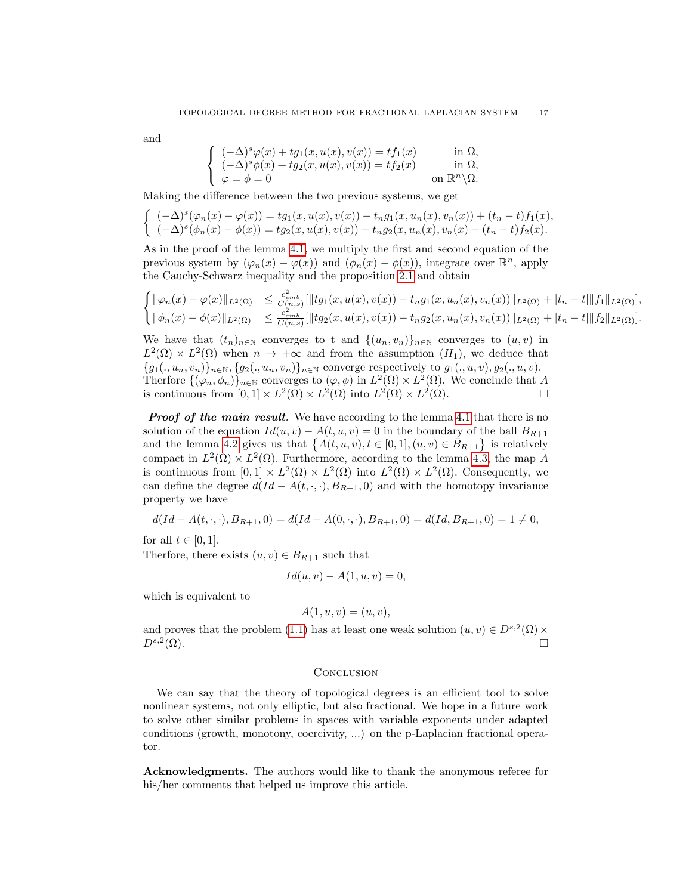and

$$
\begin{cases}\n(-\Delta)^s \varphi(x) + t g_1(x, u(x), v(x)) = t f_1(x) & \text{in } \Omega, \\
(-\Delta)^s \varphi(x) + t g_2(x, u(x), v(x)) = t f_2(x) & \text{in } \Omega, \\
\varphi = \phi = 0 & \text{on } \mathbb{R}^n \backslash \Omega.\n\end{cases}
$$

Making the difference between the two previous systems, we get

$$
\begin{cases}\n(-\Delta)^s(\varphi_n(x) - \varphi(x)) = tg_1(x, u(x), v(x)) - t_n g_1(x, u_n(x), v_n(x)) + (t_n - t) f_1(x), \n(-\Delta)^s(\phi_n(x) - \phi(x)) = tg_2(x, u(x), v(x)) - t_n g_2(x, u_n(x), v_n(x) + (t_n - t) f_2(x).\n\end{cases}
$$

As in the proof of the lemma [4.1,](#page-5-3) we multiply the first and second equation of the previous system by  $(\varphi_n(x) - \varphi(x))$  and  $(\phi_n(x) - \phi(x))$ , integrate over  $\mathbb{R}^n$ , apply the Cauchy-Schwarz inequality and the proposition [2.1](#page-2-1) and obtain

$$
\begin{cases} \|\varphi_n(x)-\varphi(x)\|_{L^2(\Omega)} & \leq \frac{c_{emb}^2}{C(n,s)}[\|tg_1(x,u(x),v(x))-t_ng_1(x,u_n(x),v_n(x))\|_{L^2(\Omega)}+|t_n-t|\|f_1\|_{L^2(\Omega)}],\\ \|\phi_n(x)-\phi(x)\|_{L^2(\Omega)} & \leq \frac{c_{emb}^2}{C(n,s)}[\|tg_2(x,u(x),v(x))-t_ng_2(x,u_n(x),v_n(x))\|_{L^2(\Omega)}+|t_n-t|\|f_2\|_{L^2(\Omega)}]. \end{cases}
$$

We have that  $(t_n)_{n\in\mathbb{N}}$  converges to t and  $\{(u_n, v_n)\}_{n\in\mathbb{N}}$  converges to  $(u, v)$  in  $L^2(\Omega) \times L^2(\Omega)$  when  $n \to +\infty$  and from the assumption  $(H_1)$ , we deduce that  ${g_1(., u_n, v_n)}_{n \in \mathbb{N}}, {g_2(., u_n, v_n)}_{n \in \mathbb{N}}$  converge respectively to  $g_1(., u, v), g_2(., u, v).$ Therfore  $\{(\varphi_n, \phi_n)\}_{n \in \mathbb{N}}$  converges to  $(\varphi, \phi)$  in  $L^2(\Omega) \times L^2(\Omega)$ . We conclude that A is continuous from  $[0,1] \times L^2(\Omega) \times L^2(\Omega)$  into  $L^2(\Omega) \times L^2(\Omega)$ .

**Proof of the main result.** We have according to the lemma [4.1](#page-5-3) that there is no solution of the equation  $Id(u, v) - A(t, u, v) = 0$  in the boundary of the ball  $B_{R+1}$ and the lemma [4.2](#page-6-2) gives us that  $\{A(t, u, v), t \in [0, 1], (u, v) \in \overline{B}_{R+1}\}$  is relatively compact in  $L^2(\Omega) \times L^2(\Omega)$ . Furthermore, according to the lemma [4.3,](#page-6-3) the map A is continuous from  $[0,1] \times L^2(\Omega) \times L^2(\Omega)$  into  $L^2(\Omega) \times L^2(\Omega)$ . Consequently, we can define the degree  $d(Id - A(t, \cdot, \cdot), B_{R+1}, 0)$  and with the homotopy invariance property we have

$$
d(Id - A(t, \cdot, \cdot), B_{R+1}, 0) = d(Id - A(0, \cdot, \cdot), B_{R+1}, 0) = d(Id, B_{R+1}, 0) = 1 \neq 0,
$$

for all  $t \in [0, 1]$ .

Therfore, there exists  $(u, v) \in B_{R+1}$  such that

$$
Id(u, v) - A(1, u, v) = 0,
$$

which is equivalent to

$$
A(1, u, v) = (u, v),
$$

and proves that the problem [\(1.1\)](#page-1-1) has at least one weak solution  $(u, v) \in D^{s, 2}(\Omega) \times$  $D^{s,2}(\Omega)$ .  $(\Omega)$ .

### **CONCLUSION**

We can say that the theory of topological degrees is an efficient tool to solve nonlinear systems, not only elliptic, but also fractional. We hope in a future work to solve other similar problems in spaces with variable exponents under adapted conditions (growth, monotony, coercivity, ...) on the p-Laplacian fractional operator.

Acknowledgments. The authors would like to thank the anonymous referee for his/her comments that helped us improve this article.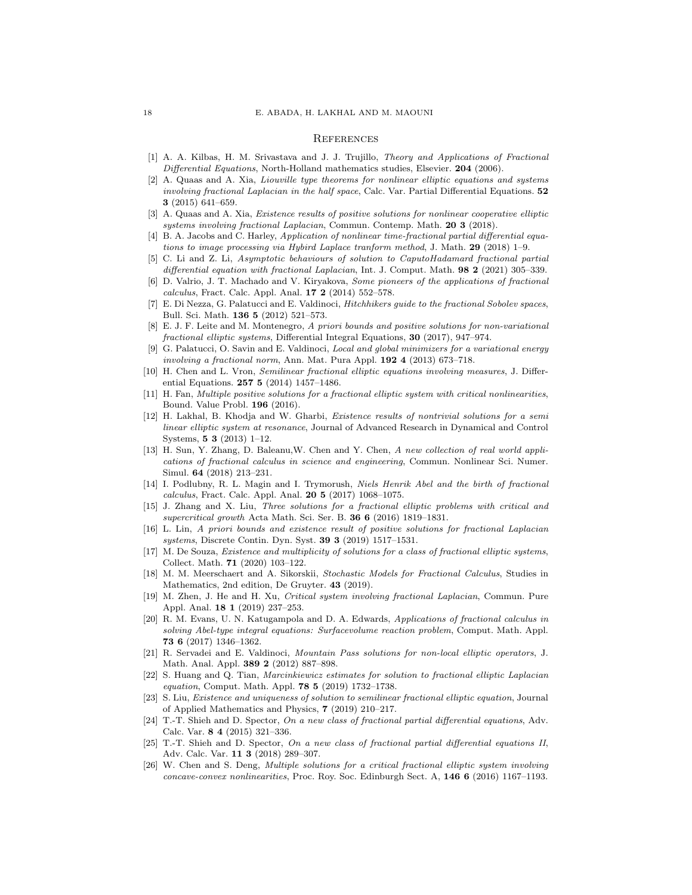#### **REFERENCES**

- <span id="page-8-1"></span>[1] A. A. Kilbas, H. M. Srivastava and J. J. Trujillo, Theory and Applications of Fractional Differential Equations, North-Holland mathematics studies, Elsevier. 204 (2006).
- <span id="page-8-19"></span>[2] A. Quaas and A. Xia, Liouville type theorems for nonlinear elliptic equations and systems involving fractional Laplacian in the half space, Calc. Var. Partial Differential Equations.  $52$ 3 (2015) 641–659.
- <span id="page-8-20"></span>[3] A. Quaas and A. Xia, Existence results of positive solutions for nonlinear cooperative elliptic systems involving fractional Laplacian, Commun. Contemp. Math. 20 3 (2018).
- <span id="page-8-2"></span>[4] B. A. Jacobs and C. Harley, Application of nonlinear time-fractional partial differential equations to image processing via Hybird Laplace tranform method, J. Math. 29 (2018) 1–9.
- <span id="page-8-6"></span>[5] C. Li and Z. Li, Asymptotic behaviours of solution to CaputoHadamard fractional partial differential equation with fractional Laplacian, Int. J. Comput. Math. **98 2** (2021) 305–339.
- <span id="page-8-3"></span>[6] D. Valrio, J. T. Machado and V. Kiryakova, Some pioneers of the applications of fractional calculus, Fract. Calc. Appl. Anal. 17 2 (2014) 552–578.
- <span id="page-8-24"></span>E. Di Nezza, G. Palatucci and E. Valdinoci, *Hitchhikers guide to the fractional Sobolev spaces*, Bull. Sci. Math. 136 5 (2012) 521–573.
- <span id="page-8-21"></span>[8] E. J. F. Leite and M. Montenegro, A priori bounds and positive solutions for non-variational fractional elliptic systems, Differential Integral Equations, 30 (2017), 947–974.
- <span id="page-8-25"></span>[9] G. Palatucci, O. Savin and E. Valdinoci, Local and global minimizers for a variational energy involving a fractional norm, Ann. Mat. Pura Appl. 192 4 (2013) 673–718.
- <span id="page-8-8"></span>[10] H. Chen and L. Vron, Semilinear fractional elliptic equations involving measures, J. Differential Equations. 257 5 (2014) 1457–1486.
- <span id="page-8-16"></span>[11] H. Fan, Multiple positive solutions for a fractional elliptic system with critical nonlinearities, Bound. Value Probl. 196 (2016).
- <span id="page-8-13"></span>[12] H. Lakhal, B. Khodja and W. Gharbi, Existence results of nontrivial solutions for a semi linear elliptic system at resonance, Journal of Advanced Research in Dynamical and Control Systems, 5 3 (2013) 1–12.
- <span id="page-8-0"></span>[13] H. Sun, Y. Zhang, D. Baleanu, W. Chen and Y. Chen, A new collection of real world applications of fractional calculus in science and engineering, Commun. Nonlinear Sci. Numer. Simul. 64 (2018) 213–231.
- <span id="page-8-4"></span>[14] I. Podlubny, R. L. Magin and I. Trymorush, Niels Henrik Abel and the birth of fractional calculus, Fract. Calc. Appl. Anal. 20 5 (2017) 1068–1075.
- <span id="page-8-7"></span>[15] J. Zhang and X. Liu, Three solutions for a fractional elliptic problems with critical and supercritical growth Acta Math. Sci. Ser. B.  $366(2016)$  1819–1831.
- <span id="page-8-22"></span>[16] L. Lin, A priori bounds and existence result of positive solutions for fractional Laplacian systems, Discrete Contin. Dyn. Syst. 39 3 (2019) 1517–1531.
- <span id="page-8-14"></span>[17] M. De Souza, Existence and multiplicity of solutions for a class of fractional elliptic systems, Collect. Math. 71 (2020) 103–122.
- <span id="page-8-9"></span>[18] M. M. Meerschaert and A. Sikorskii, Stochastic Models for Fractional Calculus, Studies in Mathematics, 2nd edition, De Gruyter. 43 (2019).
- <span id="page-8-23"></span>[19] M. Zhen, J. He and H. Xu, Critical system involving fractional Laplacian, Commun. Pure Appl. Anal. **18 1** (2019) 237-253.
- <span id="page-8-5"></span>[20] R. M. Evans, U. N. Katugampola and D. A. Edwards, Applications of fractional calculus in solving Abel-type integral equations: Surfacevolume reaction problem, Comput. Math. Appl. 73 6 (2017) 1346–1362.
- <span id="page-8-18"></span>[21] R. Servadei and E. Valdinoci, Mountain Pass solutions for non-local elliptic operators, J. Math. Anal. Appl. 389 2 (2012) 887–898.
- <span id="page-8-10"></span>[22] S. Huang and Q. Tian, Marcinkiewicz estimates for solution to fractional elliptic Laplacian *equation*, Comput. Math. Appl. **78 5** (2019) 1732–1738.
- <span id="page-8-17"></span>[23] S. Liu, Existence and uniqueness of solution to semilinear fractional elliptic equation, Journal of Applied Mathematics and Physics, 7 (2019) 210–217.
- <span id="page-8-11"></span>[24] T.-T. Shieh and D. Spector, On a new class of fractional partial differential equations, Adv. Calc. Var. 8 4 (2015) 321–336.
- <span id="page-8-12"></span>[25] T.-T. Shieh and D. Spector, On a new class of fractional partial differential equations II, Adv. Calc. Var. 11 3 (2018) 289–307.
- <span id="page-8-15"></span>[26] W. Chen and S. Deng, Multiple solutions for a critical fractional elliptic system involving concave-convex nonlinearities, Proc. Roy. Soc. Edinburgh Sect. A, 146 6 (2016) 1167–1193.